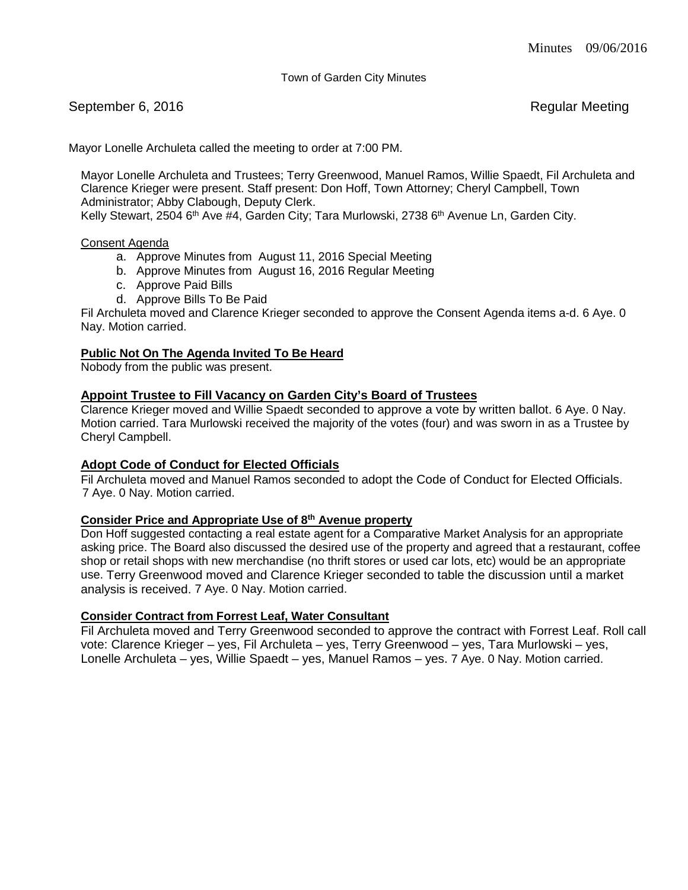Town of Garden City Minutes

September 6, 2016 **Regular Meeting** 

Mayor Lonelle Archuleta called the meeting to order at 7:00 PM.

Mayor Lonelle Archuleta and Trustees; Terry Greenwood, Manuel Ramos, Willie Spaedt, Fil Archuleta and Clarence Krieger were present. Staff present: Don Hoff, Town Attorney; Cheryl Campbell, Town Administrator; Abby Clabough, Deputy Clerk.

Kelly Stewart, 2504 6<sup>th</sup> Ave #4, Garden City; Tara Murlowski, 2738 6<sup>th</sup> Avenue Ln, Garden City.

### Consent Agenda

- a. Approve Minutes from August 11, 2016 Special Meeting
- b. Approve Minutes from August 16, 2016 Regular Meeting
- c. Approve Paid Bills
- d. Approve Bills To Be Paid

Fil Archuleta moved and Clarence Krieger seconded to approve the Consent Agenda items a-d. 6 Aye. 0 Nay. Motion carried.

### **Public Not On The Agenda Invited To Be Heard**

Nobody from the public was present.

# **Appoint Trustee to Fill Vacancy on Garden City's Board of Trustees**

Clarence Krieger moved and Willie Spaedt seconded to approve a vote by written ballot. 6 Aye. 0 Nay. Motion carried. Tara Murlowski received the majority of the votes (four) and was sworn in as a Trustee by Cheryl Campbell.

# **Adopt Code of Conduct for Elected Officials**

Fil Archuleta moved and Manuel Ramos seconded to adopt the Code of Conduct for Elected Officials. 7 Aye. 0 Nay. Motion carried.

### **Consider Price and Appropriate Use of 8th Avenue property**

Don Hoff suggested contacting a real estate agent for a Comparative Market Analysis for an appropriate asking price. The Board also discussed the desired use of the property and agreed that a restaurant, coffee shop or retail shops with new merchandise (no thrift stores or used car lots, etc) would be an appropriate use. Terry Greenwood moved and Clarence Krieger seconded to table the discussion until a market analysis is received. 7 Aye. 0 Nay. Motion carried.

# **Consider Contract from Forrest Leaf, Water Consultant**

Fil Archuleta moved and Terry Greenwood seconded to approve the contract with Forrest Leaf. Roll call vote: Clarence Krieger – yes, Fil Archuleta – yes, Terry Greenwood – yes, Tara Murlowski – yes, Lonelle Archuleta – yes, Willie Spaedt – yes, Manuel Ramos – yes. 7 Aye. 0 Nay. Motion carried.